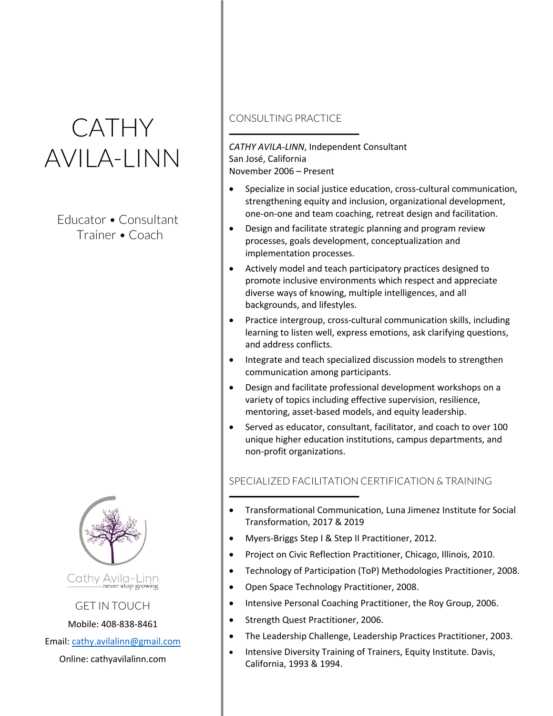# **CATHY** AVILA-LINN

 Educator • Consultant Trainer • Coach



GET IN TOUCH

Mobile: 408-838-8461

Email: cathy.avilalinn@gmail.com

Online: cathyavilalinn.com

## CONSULTING PRACTICE

*CATHY AVILA-LINN*, Independent Consultant San José, California November 2006 – Present

- Specialize in social justice education, cross-cultural communication, strengthening equity and inclusion, organizational development, one-on-one and team coaching, retreat design and facilitation.
- Design and facilitate strategic planning and program review processes, goals development, conceptualization and implementation processes.
- Actively model and teach participatory practices designed to promote inclusive environments which respect and appreciate diverse ways of knowing, multiple intelligences, and all backgrounds, and lifestyles.
- Practice intergroup, cross-cultural communication skills, including learning to listen well, express emotions, ask clarifying questions, and address conflicts.
- Integrate and teach specialized discussion models to strengthen communication among participants.
- Design and facilitate professional development workshops on a variety of topics including effective supervision, resilience, mentoring, asset-based models, and equity leadership.
- Served as educator, consultant, facilitator, and coach to over 100 unique higher education institutions, campus departments, and non-profit organizations.

# SPECIALIZED FACILITATION CERTIFICATION & TRAINING

- Transformational Communication, Luna Jimenez Institute for Social Transformation, 2017 & 2019
- Myers-Briggs Step I & Step II Practitioner, 2012.
- Project on Civic Reflection Practitioner, Chicago, Illinois, 2010.
- Technology of Participation (ToP) Methodologies Practitioner, 2008.
- Open Space Technology Practitioner, 2008.
- Intensive Personal Coaching Practitioner, the Roy Group, 2006.
- Strength Quest Practitioner, 2006.
- The Leadership Challenge, Leadership Practices Practitioner, 2003.
- Intensive Diversity Training of Trainers, Equity Institute. Davis, California, 1993 & 1994.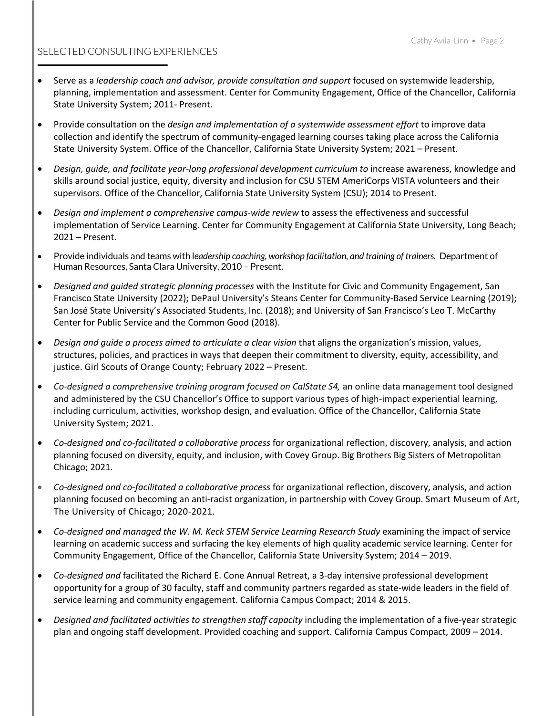## SELECTED CONSULTING EXPERIENCES

- Serve as a *leadership coach and advisor, provide consultation and support* focused on systemwide leadership, planning, implementation and assessment. Center for Community Engagement, Office of the Chancellor, California State University System; 2011- Present.
- Provide consultation on the *design and implementation of a systemwide assessment effort* to improve data collection and identify the spectrum of community-engaged learning courses taking place across the California State University System. Office of the Chancellor, California State University System; 2021 – Present.
- *Design, guide, and facilitate year-long professional development curriculum to* increase awareness, knowledge and skills around social justice, equity, diversity and inclusion for CSU STEM AmeriCorps VISTA volunteers and their supervisors. Office of the Chancellor, California State University System (CSU); 2014 to Present.
- *Design and implement a comprehensive campus-wide review* to assess the effectiveness and successful implementation of Service Learning. Center for Community Engagement at California State University, Long Beach; 2021 – Present.
- Provide individuals and teams with l*eadership coaching, workshop facilitation, and training of trainers.* Department of Human Resources, Santa Clara University, 2010 – Present.
- *Designed and guided strategic planning processes* with the Institute for Civic and Community Engagement, San Francisco State University (2022); DePaul University's Steans Center for Community-Based Service Learning (2019); San José State University's Associated Students, Inc. (2018); and University of San Francisco's Leo T. McCarthy Center for Public Service and the Common Good (2018).
- *Design and guide a process aimed to articulate a clear vision* that aligns the organization's mission, values, structures, policies, and practices in ways that deepen their commitment to diversity, equity, accessibility, and justice. Girl Scouts of Orange County; February 2022 – Present.
- *Co-designed a comprehensive training program focused on CalState S4,* an online data management tool designed and administered by the CSU Chancellor's Office to support various types of high-impact experiential learning, including curriculum, activities, workshop design, and evaluation. Office of the Chancellor, California State University System; 2021.
- *Co-designed and co-facilitated a collaborative process* for organizational reflection, discovery, analysis, and action planning focused on diversity, equity, and inclusion, with Covey Group. Big Brothers Big Sisters of Metropolitan Chicago; 2021.
- *Co-designed and co-facilitated a collaborative process* for organizational reflection, discovery, analysis, and action planning focused on becoming an anti-racist organization, in partnership with Covey Group. Smart Museum of Art, The University of Chicago; 2020-2021.
- *Co-designed and managed the W. M. Keck STEM Service Learning Research Study* examining the impact of service learning on academic success and surfacing the key elements of high quality academic service learning. Center for Community Engagement, Office of the Chancellor, California State University System; 2014 – 2019.
- *Co-designed and* facilitated the Richard E. Cone Annual Retreat, a 3-day intensive professional development opportunity for a group of 30 faculty, staff and community partners regarded as state-wide leaders in the field of service learning and community engagement. California Campus Compact; 2014 & 2015.
- *Designed and facilitated activities to strengthen staff capacity* including the implementation of a five-year strategic plan and ongoing staff development. Provided coaching and support. California Campus Compact, 2009 – 2014.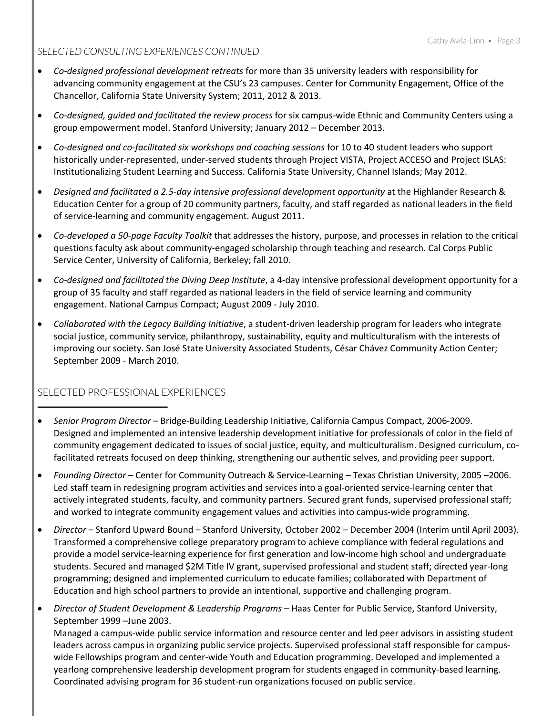#### *SELECTED CONSULTING EXPERIENCES CONTINUED*

- *Co-designed professional development retreats* for more than 35 university leaders with responsibility for advancing community engagement at the CSU's 23 campuses. Center for Community Engagement, Office of the Chancellor, California State University System; 2011, 2012 & 2013.
- *Co-designed, guided and facilitated the review process* for six campus-wide Ethnic and Community Centers using a group empowerment model. Stanford University; January 2012 – December 2013.
- *Co-designed and co-facilitated six workshops and coaching sessions* for 10 to 40 student leaders who support historically under-represented, under-served students through Project VISTA, Project ACCESO and Project ISLAS: Institutionalizing Student Learning and Success. California State University, Channel Islands; May 2012.
- *Designed and facilitated a 2.5-day intensive professional development opportunity* at the Highlander Research & Education Center for a group of 20 community partners, faculty, and staff regarded as national leaders in the field of service-learning and community engagement. August 2011.
- *Co-developed a 50-page Faculty Toolkit* that addresses the history, purpose, and processes in relation to the critical questions faculty ask about community-engaged scholarship through teaching and research. Cal Corps Public Service Center, University of California, Berkeley; fall 2010.
- *Co-designed and facilitated the Diving Deep Institute*, a 4-day intensive professional development opportunity for a group of 35 faculty and staff regarded as national leaders in the field of service learning and community engagement. National Campus Compact; August 2009 - July 2010.
- *Collaborated with the Legacy Building Initiative*, a student-driven leadership program for leaders who integrate social justice, community service, philanthropy, sustainability, equity and multiculturalism with the interests of improving our society. San José State University Associated Students, César Chávez Community Action Center; September 2009 - March 2010.

## SELECTED PROFESSIONAL EXPERIENCES

- *Senior Program Director* Bridge-Building Leadership Initiative, California Campus Compact, 2006-2009. Designed and implemented an intensive leadership development initiative for professionals of color in the field of community engagement dedicated to issues of social justice, equity, and multiculturalism. Designed curriculum, cofacilitated retreats focused on deep thinking, strengthening our authentic selves, and providing peer support.
- *Founding Director* Center for Community Outreach & Service-Learning Texas Christian University, 2005 –2006. Led staff team in redesigning program activities and services into a goal-oriented service-learning center that actively integrated students, faculty, and community partners. Secured grant funds, supervised professional staff; and worked to integrate community engagement values and activities into campus-wide programming.
- *Director*  Stanford Upward Bound Stanford University, October 2002 December 2004 (Interim until April 2003). Transformed a comprehensive college preparatory program to achieve compliance with federal regulations and provide a model service-learning experience for first generation and low-income high school and undergraduate students. Secured and managed \$2M Title IV grant, supervised professional and student staff; directed year-long programming; designed and implemented curriculum to educate families; collaborated with Department of Education and high school partners to provide an intentional, supportive and challenging program.
- *Director of Student Development & Leadership Programs* Haas Center for Public Service, Stanford University, September 1999 –June 2003.

Managed a campus-wide public service information and resource center and led peer advisors in assisting student leaders across campus in organizing public service projects. Supervised professional staff responsible for campuswide Fellowships program and center-wide Youth and Education programming. Developed and implemented a yearlong comprehensive leadership development program for students engaged in community-based learning. Coordinated advising program for 36 student-run organizations focused on public service.